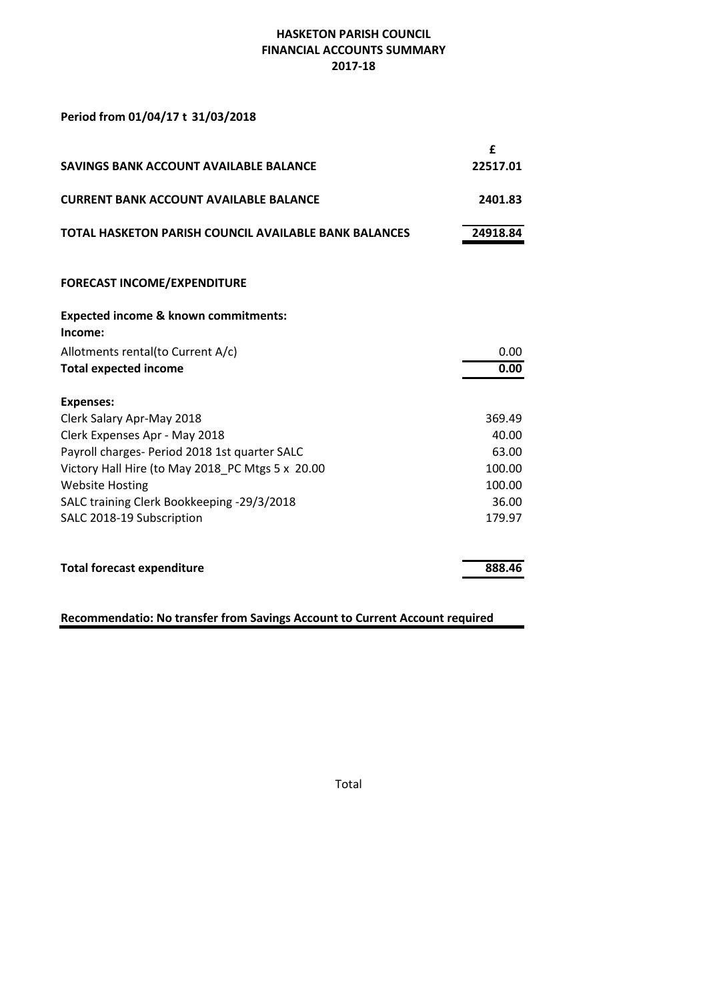# **HASKETON PARISH COUNCIL FINANCIAL ACCOUNTS SUMMARY 2017-18**

## Period from 01/04/17 t 31/03/2018

|                                                              | £        |
|--------------------------------------------------------------|----------|
| SAVINGS BANK ACCOUNT AVAILABLE BALANCE                       | 22517.01 |
| <b>CURRENT BANK ACCOUNT AVAILABLE BALANCE</b>                | 2401.83  |
| <b>TOTAL HASKETON PARISH COUNCIL AVAILABLE BANK BALANCES</b> | 24918.84 |
| <b>FORECAST INCOME/EXPENDITURE</b>                           |          |
| <b>Expected income &amp; known commitments:</b><br>Income:   |          |
| Allotments rental(to Current A/c)                            | 0.00     |
| <b>Total expected income</b>                                 | 0.00     |
| <b>Expenses:</b>                                             |          |
| Clerk Salary Apr-May 2018                                    | 369.49   |
| Clerk Expenses Apr - May 2018                                | 40.00    |
| Payroll charges- Period 2018 1st quarter SALC                | 63.00    |
| Victory Hall Hire (to May 2018 PC Mtgs 5 x 20.00             | 100.00   |
| <b>Website Hosting</b>                                       | 100.00   |
| SALC training Clerk Bookkeeping -29/3/2018                   | 36.00    |
| SALC 2018-19 Subscription                                    | 179.97   |
| <b>Total forecast expenditure</b>                            | 888.46   |

# **Recommendatio: No transfer from Savings Account to Current Account required**

Total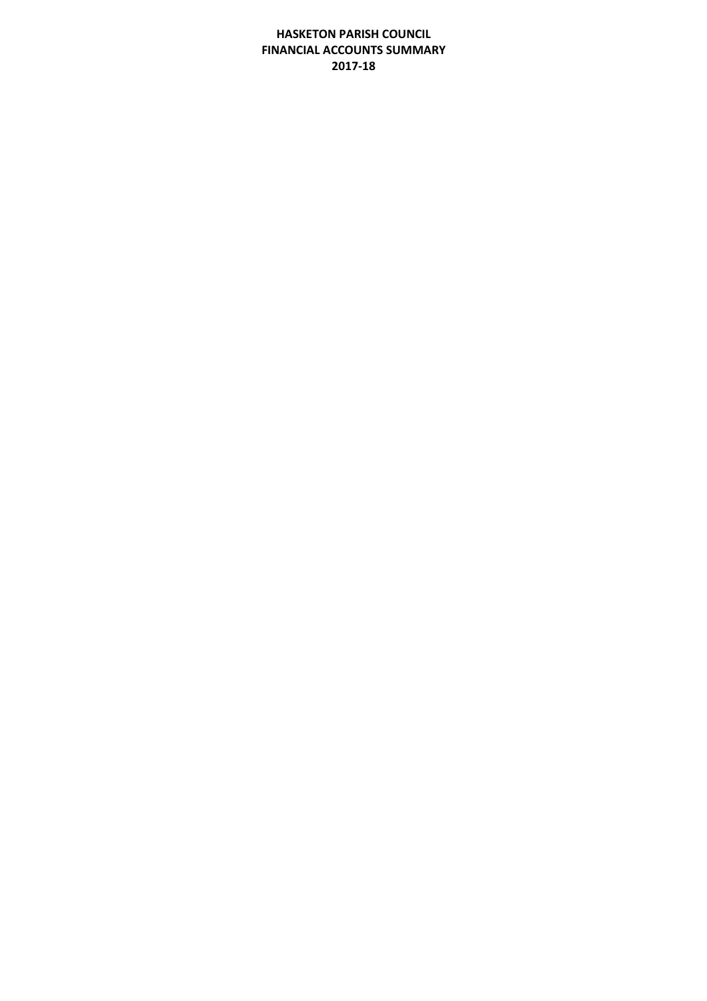# **HASKETON PARISH COUNCIL FINANCIAL ACCOUNTS SUMMARY 2017-18**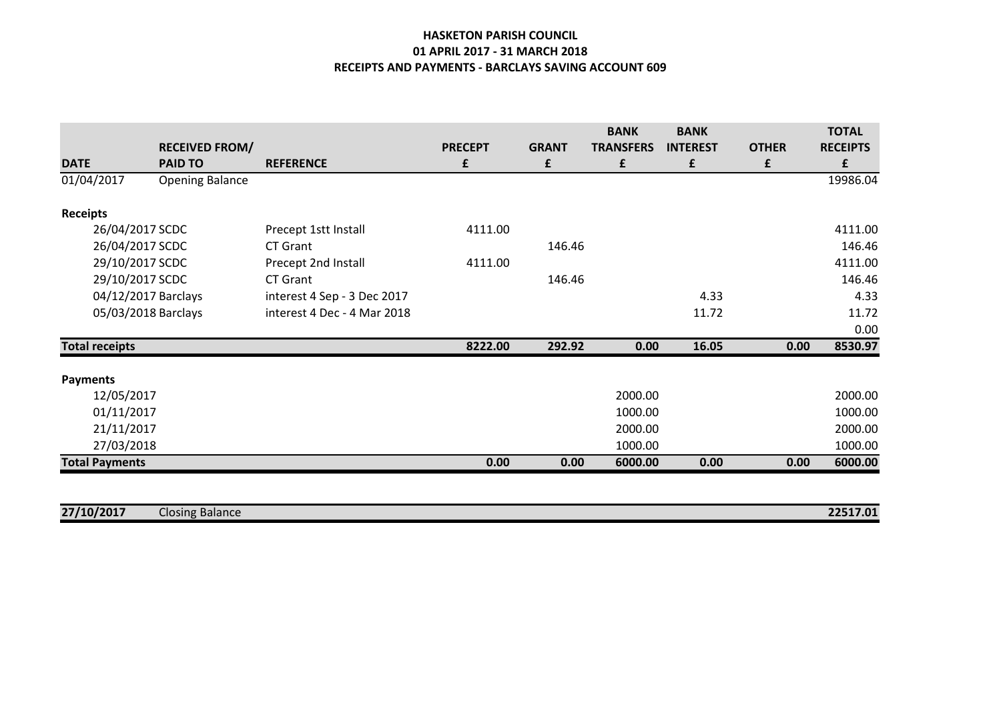## **HASKETON PARISH COUNCIL 01 APRIL 2017 - 31 MARCH 2018 RECEIPTS AND PAYMENTS - BARCLAYS SAVING ACCOUNT 609**

|                       |                        |                             |                |              | <b>BANK</b>      | <b>BANK</b>     |              | <b>TOTAL</b>    |
|-----------------------|------------------------|-----------------------------|----------------|--------------|------------------|-----------------|--------------|-----------------|
|                       | <b>RECEIVED FROM/</b>  |                             | <b>PRECEPT</b> | <b>GRANT</b> | <b>TRANSFERS</b> | <b>INTEREST</b> | <b>OTHER</b> | <b>RECEIPTS</b> |
| <b>DATE</b>           | <b>PAID TO</b>         | <b>REFERENCE</b>            | £              | £            | £                | £               | £            | £               |
| 01/04/2017            | <b>Opening Balance</b> |                             |                |              |                  |                 |              | 19986.04        |
| <b>Receipts</b>       |                        |                             |                |              |                  |                 |              |                 |
| 26/04/2017 SCDC       |                        | Precept 1stt Install        | 4111.00        |              |                  |                 |              | 4111.00         |
| 26/04/2017 SCDC       |                        | CT Grant                    |                | 146.46       |                  |                 |              | 146.46          |
| 29/10/2017 SCDC       |                        | Precept 2nd Install         | 4111.00        |              |                  |                 |              | 4111.00         |
| 29/10/2017 SCDC       |                        | CT Grant                    |                | 146.46       |                  |                 |              | 146.46          |
| 04/12/2017 Barclays   |                        | interest 4 Sep - 3 Dec 2017 |                |              |                  | 4.33            |              | 4.33            |
| 05/03/2018 Barclays   |                        | interest 4 Dec - 4 Mar 2018 |                |              |                  | 11.72           |              | 11.72           |
|                       |                        |                             |                |              |                  |                 |              | 0.00            |
| <b>Total receipts</b> |                        |                             | 8222.00        | 292.92       | 0.00             | 16.05           | 0.00         | 8530.97         |
| <b>Payments</b>       |                        |                             |                |              |                  |                 |              |                 |
| 12/05/2017            |                        |                             |                |              | 2000.00          |                 |              | 2000.00         |
| 01/11/2017            |                        |                             |                |              | 1000.00          |                 |              | 1000.00         |
| 21/11/2017            |                        |                             |                |              | 2000.00          |                 |              | 2000.00         |
| 27/03/2018            |                        |                             |                |              | 1000.00          |                 |              | 1000.00         |
| <b>Total Payments</b> |                        |                             | 0.00           | 0.00         | 6000.00          | 0.00            | 0.00         | 6000.00         |

| 27/10/2017<br><b>. .</b><br>Closing Balance | 22517.01 |
|---------------------------------------------|----------|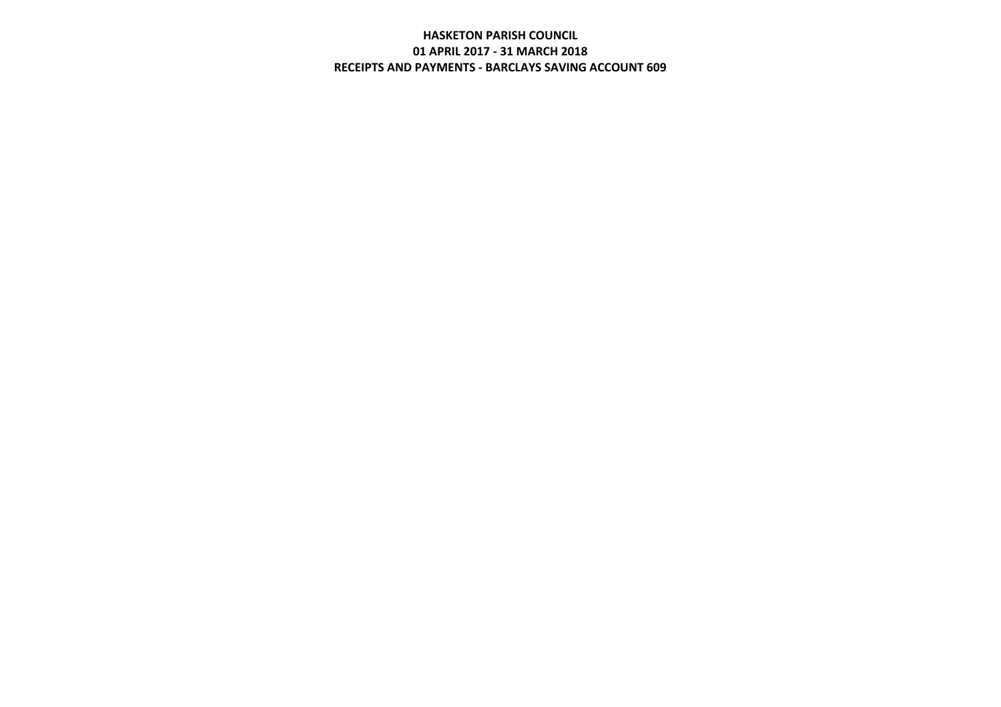# **HASKETON PARISH COUNCIL 01 APRIL 2017 - 31 MARCH 2018 RECEIPTS AND PAYMENTS - BARCLAYS SAVING ACCOUNT 609**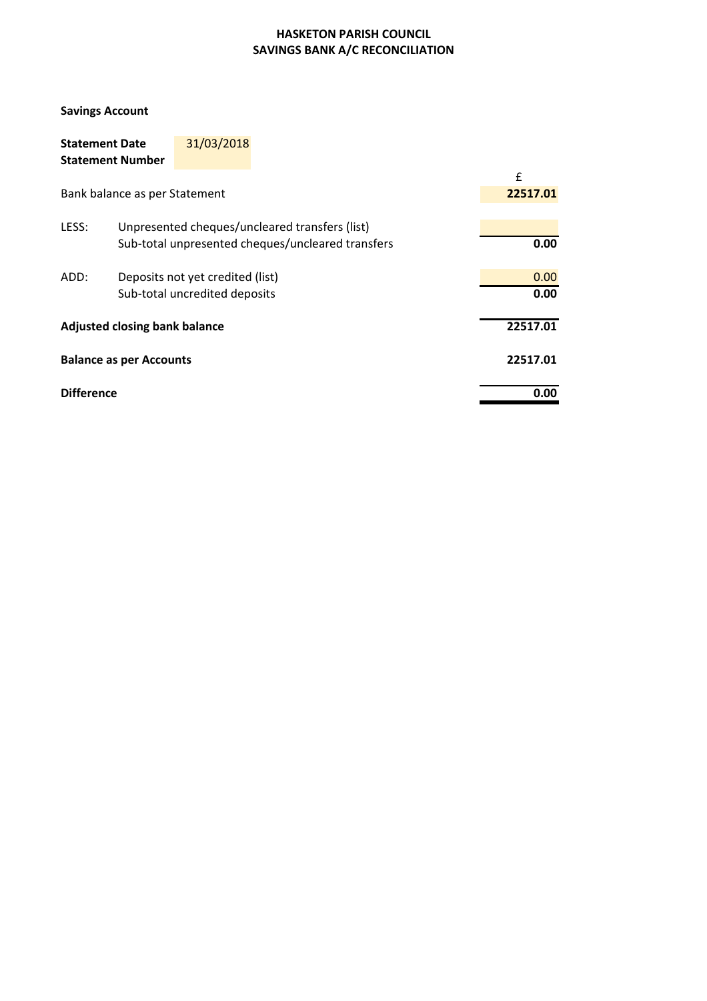# **HASKETON PARISH COUNCIL SAVINGS BANK A/C RECONCILIATION**

## **Savings Account**

| <b>Statement Date</b><br><b>Statement Number</b>  |                               | 31/03/2018                       |                                                |  |          |
|---------------------------------------------------|-------------------------------|----------------------------------|------------------------------------------------|--|----------|
|                                                   |                               |                                  |                                                |  | f        |
|                                                   | Bank balance as per Statement |                                  |                                                |  | 22517.01 |
| LESS:                                             |                               |                                  | Unpresented cheques/uncleared transfers (list) |  |          |
| Sub-total unpresented cheques/uncleared transfers |                               |                                  |                                                |  | 0.00     |
| ADD:                                              |                               | Deposits not yet credited (list) |                                                |  | 0.00     |
| Sub-total uncredited deposits                     |                               |                                  |                                                |  | 0.00     |
| <b>Adjusted closing bank balance</b>              |                               |                                  |                                                |  | 22517.01 |
| <b>Balance as per Accounts</b>                    |                               |                                  |                                                |  | 22517.01 |
| <b>Difference</b>                                 |                               |                                  |                                                |  | 0.00     |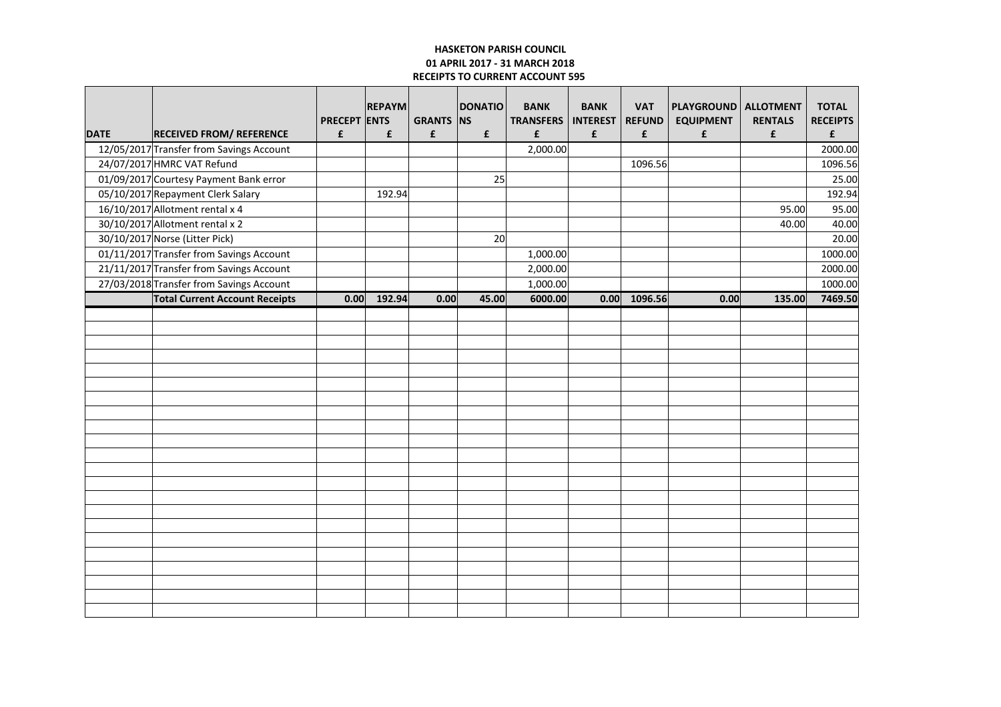### **HASKETON PARISH COUNCIL 01 APRIL 2017 - 31 MARCH 2018 RECEIPTS TO CURRENT ACCOUNT 595**

| <b>DATE</b> | <b>RECEIVED FROM/ REFERENCE</b>          | <b>PRECEPT ENTS</b><br>£ | <b>REPAYM</b><br>£ | <b>GRANTS NS</b><br>£ | <b>DONATIO</b><br>£ | <b>BANK</b><br><b>TRANSFERS</b><br>£ | <b>BANK</b><br><b>INTEREST</b><br>£ | <b>VAT</b><br><b>REFUND</b><br>£ | PLAYGROUND   ALLOTMENT<br><b>EQUIPMENT</b><br>£ | <b>RENTALS</b><br>£ | <b>TOTAL</b><br><b>RECEIPTS</b><br>£ |
|-------------|------------------------------------------|--------------------------|--------------------|-----------------------|---------------------|--------------------------------------|-------------------------------------|----------------------------------|-------------------------------------------------|---------------------|--------------------------------------|
|             | 12/05/2017 Transfer from Savings Account |                          |                    |                       |                     | 2,000.00                             |                                     |                                  |                                                 |                     | 2000.00                              |
|             | 24/07/2017 HMRC VAT Refund               |                          |                    |                       |                     |                                      |                                     | 1096.56                          |                                                 |                     | 1096.56                              |
|             | 01/09/2017 Courtesy Payment Bank error   |                          |                    |                       | 25                  |                                      |                                     |                                  |                                                 |                     | 25.00                                |
|             | 05/10/2017 Repayment Clerk Salary        |                          | 192.94             |                       |                     |                                      |                                     |                                  |                                                 |                     | 192.94                               |
|             | 16/10/2017 Allotment rental x 4          |                          |                    |                       |                     |                                      |                                     |                                  |                                                 | 95.00               | 95.00                                |
|             | 30/10/2017 Allotment rental x 2          |                          |                    |                       |                     |                                      |                                     |                                  |                                                 | 40.00               | 40.00                                |
|             | 30/10/2017 Norse (Litter Pick)           |                          |                    |                       | 20 <sup>1</sup>     |                                      |                                     |                                  |                                                 |                     | 20.00                                |
|             | 01/11/2017 Transfer from Savings Account |                          |                    |                       |                     | 1,000.00                             |                                     |                                  |                                                 |                     | 1000.00                              |
|             | 21/11/2017 Transfer from Savings Account |                          |                    |                       |                     | 2,000.00                             |                                     |                                  |                                                 |                     | 2000.00                              |
|             | 27/03/2018 Transfer from Savings Account |                          |                    |                       |                     | 1,000.00                             |                                     |                                  |                                                 |                     | 1000.00                              |
|             | <b>Total Current Account Receipts</b>    | 0.00                     | 192.94             | 0.00                  | 45.00               | 6000.00                              |                                     | $0.00$ 1096.56                   | 0.00                                            | 135.00              | 7469.50                              |
|             |                                          |                          |                    |                       |                     |                                      |                                     |                                  |                                                 |                     |                                      |
|             |                                          |                          |                    |                       |                     |                                      |                                     |                                  |                                                 |                     |                                      |
|             |                                          |                          |                    |                       |                     |                                      |                                     |                                  |                                                 |                     |                                      |
|             |                                          |                          |                    |                       |                     |                                      |                                     |                                  |                                                 |                     |                                      |
|             |                                          |                          |                    |                       |                     |                                      |                                     |                                  |                                                 |                     |                                      |
|             |                                          |                          |                    |                       |                     |                                      |                                     |                                  |                                                 |                     |                                      |
|             |                                          |                          |                    |                       |                     |                                      |                                     |                                  |                                                 |                     |                                      |
|             |                                          |                          |                    |                       |                     |                                      |                                     |                                  |                                                 |                     |                                      |
|             |                                          |                          |                    |                       |                     |                                      |                                     |                                  |                                                 |                     |                                      |
|             |                                          |                          |                    |                       |                     |                                      |                                     |                                  |                                                 |                     |                                      |
|             |                                          |                          |                    |                       |                     |                                      |                                     |                                  |                                                 |                     |                                      |
|             |                                          |                          |                    |                       |                     |                                      |                                     |                                  |                                                 |                     |                                      |
|             |                                          |                          |                    |                       |                     |                                      |                                     |                                  |                                                 |                     |                                      |
|             |                                          |                          |                    |                       |                     |                                      |                                     |                                  |                                                 |                     |                                      |
|             |                                          |                          |                    |                       |                     |                                      |                                     |                                  |                                                 |                     |                                      |
|             |                                          |                          |                    |                       |                     |                                      |                                     |                                  |                                                 |                     |                                      |
|             |                                          |                          |                    |                       |                     |                                      |                                     |                                  |                                                 |                     |                                      |
|             |                                          |                          |                    |                       |                     |                                      |                                     |                                  |                                                 |                     |                                      |
|             |                                          |                          |                    |                       |                     |                                      |                                     |                                  |                                                 |                     |                                      |
|             |                                          |                          |                    |                       |                     |                                      |                                     |                                  |                                                 |                     |                                      |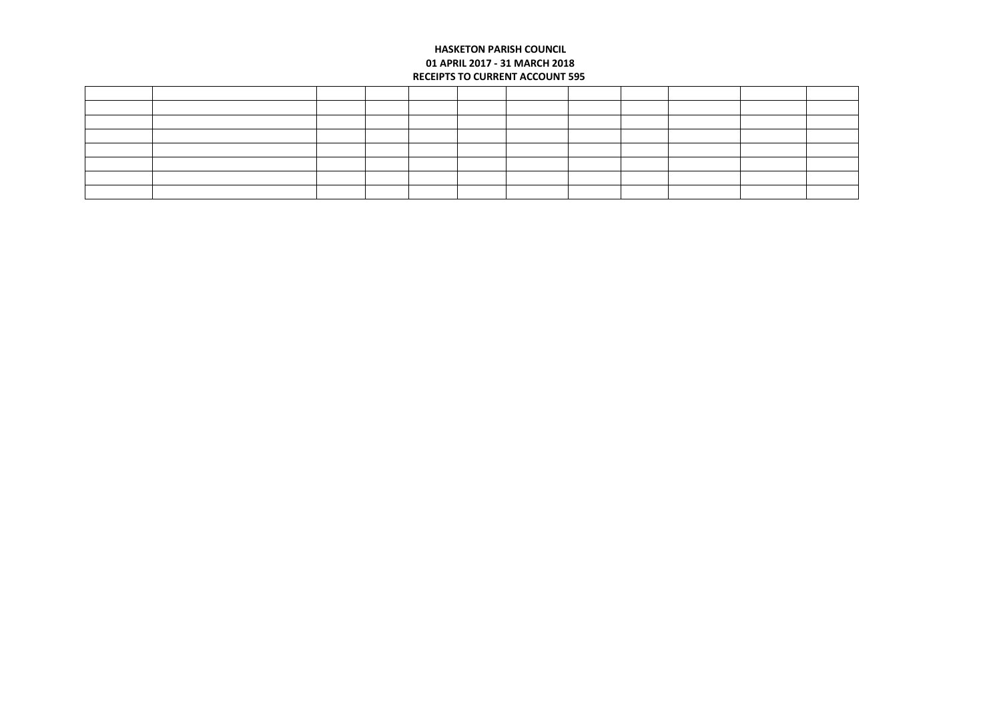### **HASKETON PARISH COUNCIL 01 APRIL 2017 - 31 MARCH 2018 RECEIPTS TO CURRENT ACCOUNT 595**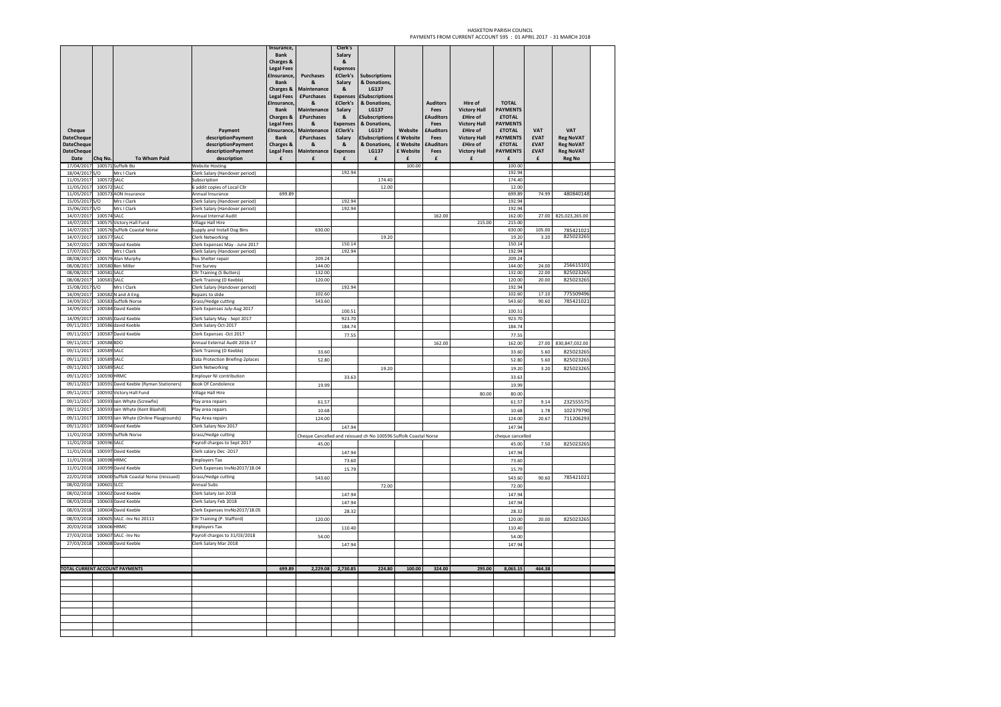#### HASKETON PARISH COUNCIL PAYMENTS FROM CURRENT ACCOUNT 595 : 01 APRIL 2017 - 31 MARCH 2018

| Cheque<br><b>DateCheque</b><br><b>DateCheque</b><br><b>DateCheque</b><br>Date | Chq No.     | <b>To Whom Paid</b>                         | Payment<br>descriptionPayment<br>descriptionPayment<br>descriptionPayment<br>description | Insurance,<br><b>Bank</b><br><b>Charges &amp;</b><br><b>Legal Fees</b><br><b>£Insurance.</b><br><b>Bank</b><br>Charges &<br><b>Legal Fees</b><br><b>flnsurance</b><br><b>Bank</b><br>Charges &<br><b>Legal Fees</b><br><b>£Insurance</b><br>Bank<br>Charges &<br><b>Legal Fees</b><br>£ | <b>Purchases</b><br>&<br><b>Maintenance</b><br><b>£Purchases</b><br><b>R</b><br>Maintenance<br><b>£Purchases</b><br>R.<br>Maintenance<br><b>£Purchases</b><br>$\boldsymbol{\mathsf{R}}$<br>Maintenance<br>£ | Clerk's<br>Salary<br><b>R</b><br><b>Expenses</b><br><b>fClerk's</b><br>Salary<br>ጼ<br><b>Expenses</b><br><b>fClerk's</b><br>Salary<br>ጼ<br><b>Expenses</b><br><b>fClerk's</b><br>Salary<br>ጼ<br><b>Expenses</b><br>£ | <b>Subscriptions</b><br>& Donations,<br><b>LG137</b><br><b>Subscriptions</b><br>& Donations,<br>LG137<br><b>ESubscriptions</b><br>& Donations,<br><b>LG137</b><br><b>£Subscriptions</b><br>& Donations,<br>LG137<br>£ | Website<br>£ Website<br>£ Website<br>£ Website<br>£ | <b>Auditors</b><br>Fees<br><b>£Auditors</b><br>Fees<br><b>£Auditors</b><br>Fees<br><b>£Auditors</b><br>Fees<br>£ | Hire of<br><b>Victory Hall</b><br>£Hire of<br><b>Victory Hall</b><br>£Hire of<br><b>Victory Hall</b><br>£Hire of<br><b>Victory Hall</b><br>£ | <b>TOTAL</b><br><b>PAYMENTS</b><br><b>ETOTAL</b><br>PAYMENTS<br><b>£TOTAL</b><br><b>PAYMENTS</b><br><b>£TOTAL</b><br><b>PAYMENTS</b><br>f | <b>VAT</b><br><b>£VAT</b><br><b>EVAT</b><br><b>£VAT</b><br>£ | <b>VAT</b><br><b>Reg NoVAT</b><br><b>Reg NoVAT</b><br><b>Reg NoVAT</b><br><b>Reg No</b> |  |
|-------------------------------------------------------------------------------|-------------|---------------------------------------------|------------------------------------------------------------------------------------------|-----------------------------------------------------------------------------------------------------------------------------------------------------------------------------------------------------------------------------------------------------------------------------------------|-------------------------------------------------------------------------------------------------------------------------------------------------------------------------------------------------------------|----------------------------------------------------------------------------------------------------------------------------------------------------------------------------------------------------------------------|-----------------------------------------------------------------------------------------------------------------------------------------------------------------------------------------------------------------------|-----------------------------------------------------|------------------------------------------------------------------------------------------------------------------|----------------------------------------------------------------------------------------------------------------------------------------------|-------------------------------------------------------------------------------------------------------------------------------------------|--------------------------------------------------------------|-----------------------------------------------------------------------------------------|--|
| 17/04/2017                                                                    |             | 100571 Suffolk Biz                          | <b>Website Hosting</b>                                                                   |                                                                                                                                                                                                                                                                                         |                                                                                                                                                                                                             |                                                                                                                                                                                                                      |                                                                                                                                                                                                                       | 100.00                                              |                                                                                                                  |                                                                                                                                              | 100.00                                                                                                                                    |                                                              |                                                                                         |  |
| 18/04/2017 S/O                                                                |             | Mrs I Clark                                 | Clerk Salary (Handover period)                                                           |                                                                                                                                                                                                                                                                                         |                                                                                                                                                                                                             | 192.94                                                                                                                                                                                                               |                                                                                                                                                                                                                       |                                                     |                                                                                                                  |                                                                                                                                              | 192.94                                                                                                                                    |                                                              |                                                                                         |  |
| 11/05/2017                                                                    | 100572 SALC |                                             | Subscription                                                                             |                                                                                                                                                                                                                                                                                         |                                                                                                                                                                                                             |                                                                                                                                                                                                                      | 174.40                                                                                                                                                                                                                |                                                     |                                                                                                                  |                                                                                                                                              | 174.40                                                                                                                                    |                                                              |                                                                                         |  |
| 11/05/2017                                                                    | 100572 SALC |                                             | 6 addit copies of Local Cllr                                                             |                                                                                                                                                                                                                                                                                         |                                                                                                                                                                                                             |                                                                                                                                                                                                                      | 12.00                                                                                                                                                                                                                 |                                                     |                                                                                                                  |                                                                                                                                              | 12.00                                                                                                                                     |                                                              |                                                                                         |  |
| 11/05/2017<br>15/05/2017 S/O                                                  |             | 100573 AON Insurance<br>Mrs I Clark         | Annual Insurance<br>Clerk Salary (Handover period)                                       | 699.89                                                                                                                                                                                                                                                                                  |                                                                                                                                                                                                             | 192.94                                                                                                                                                                                                               |                                                                                                                                                                                                                       |                                                     |                                                                                                                  |                                                                                                                                              | 699.89<br>192.94                                                                                                                          | 74.99                                                        | 480840148                                                                               |  |
| 15/06/2017 S/O                                                                |             | Mrs I Clark                                 | Clerk Salary (Handover period)                                                           |                                                                                                                                                                                                                                                                                         |                                                                                                                                                                                                             | 192.94                                                                                                                                                                                                               |                                                                                                                                                                                                                       |                                                     |                                                                                                                  |                                                                                                                                              | 192.94                                                                                                                                    |                                                              |                                                                                         |  |
| 14/07/2017                                                                    | 100574 SALC |                                             | Annual Internal Audit                                                                    |                                                                                                                                                                                                                                                                                         |                                                                                                                                                                                                             |                                                                                                                                                                                                                      |                                                                                                                                                                                                                       |                                                     | 162.00                                                                                                           |                                                                                                                                              | 162.00                                                                                                                                    | 27.00                                                        | 825,023,265.00                                                                          |  |
| 14/07/2017                                                                    |             | 100575 Victory Hall Fund                    | <b>Village Hall Hire</b>                                                                 |                                                                                                                                                                                                                                                                                         |                                                                                                                                                                                                             |                                                                                                                                                                                                                      |                                                                                                                                                                                                                       |                                                     |                                                                                                                  | 215.00                                                                                                                                       | 215.00                                                                                                                                    |                                                              |                                                                                         |  |
| 14/07/2017                                                                    |             | 100576 Suffolk Coastal Norse                | Supply and Install Dog Bins                                                              |                                                                                                                                                                                                                                                                                         | 630.00                                                                                                                                                                                                      |                                                                                                                                                                                                                      |                                                                                                                                                                                                                       |                                                     |                                                                                                                  |                                                                                                                                              | 630.00                                                                                                                                    | 105.00                                                       | 785421021                                                                               |  |
| 14/07/2017                                                                    | 100577 SALC |                                             | <b>Clerk Networking</b>                                                                  |                                                                                                                                                                                                                                                                                         |                                                                                                                                                                                                             |                                                                                                                                                                                                                      | 19.20                                                                                                                                                                                                                 |                                                     |                                                                                                                  |                                                                                                                                              | 19.20                                                                                                                                     | 3.20                                                         | 825023265                                                                               |  |
| 14/07/2017                                                                    |             | 100578 David Keeble                         | Clerk Expenses May - June 2017                                                           |                                                                                                                                                                                                                                                                                         |                                                                                                                                                                                                             | 150.14                                                                                                                                                                                                               |                                                                                                                                                                                                                       |                                                     |                                                                                                                  |                                                                                                                                              | 150.14                                                                                                                                    |                                                              |                                                                                         |  |
| 17/07/2017 S/O                                                                |             | Mrs I Clark                                 | Clerk Salary (Handover period)                                                           |                                                                                                                                                                                                                                                                                         |                                                                                                                                                                                                             | 192.94                                                                                                                                                                                                               |                                                                                                                                                                                                                       |                                                     |                                                                                                                  |                                                                                                                                              | 192.94                                                                                                                                    |                                                              |                                                                                         |  |
| 08/08/2017                                                                    |             | 100579 Alan Murphy                          | <b>Bus Shelter repair</b>                                                                |                                                                                                                                                                                                                                                                                         | 209.24                                                                                                                                                                                                      |                                                                                                                                                                                                                      |                                                                                                                                                                                                                       |                                                     |                                                                                                                  |                                                                                                                                              | 209.24                                                                                                                                    |                                                              |                                                                                         |  |
| 08/08/2017                                                                    |             | 100580 Ben Miller                           | <b>Tree Survey</b>                                                                       |                                                                                                                                                                                                                                                                                         | 144.00                                                                                                                                                                                                      |                                                                                                                                                                                                                      |                                                                                                                                                                                                                       |                                                     |                                                                                                                  |                                                                                                                                              | 144.00                                                                                                                                    | 24.00                                                        | 256615101                                                                               |  |
| 08/08/2017                                                                    | 100581 SALC |                                             | Cllr Training (S Butters)                                                                |                                                                                                                                                                                                                                                                                         | 132.00                                                                                                                                                                                                      |                                                                                                                                                                                                                      |                                                                                                                                                                                                                       |                                                     |                                                                                                                  |                                                                                                                                              | 132.00                                                                                                                                    | 22.00                                                        | 825023265                                                                               |  |
| 08/08/2017                                                                    | 100581 SALC |                                             | Clerk Training (D Keeble)                                                                |                                                                                                                                                                                                                                                                                         | 120.00                                                                                                                                                                                                      |                                                                                                                                                                                                                      |                                                                                                                                                                                                                       |                                                     |                                                                                                                  |                                                                                                                                              | 120.00                                                                                                                                    | 20.00                                                        | 825023265                                                                               |  |
| 15/08/2017 S/O                                                                |             | Mrs I Clark                                 | Clerk Salary (Handover period)                                                           |                                                                                                                                                                                                                                                                                         | 102.60                                                                                                                                                                                                      | 192.94                                                                                                                                                                                                               |                                                                                                                                                                                                                       |                                                     |                                                                                                                  |                                                                                                                                              | 192.94<br>102.60                                                                                                                          | 17.10                                                        | 775509496                                                                               |  |
| 14/09/2017<br>14/09/2017                                                      |             | 100582 N and A Eng.<br>100583 Suffolk Norse | Repairs to slide<br>Grass/Hedge cutting                                                  |                                                                                                                                                                                                                                                                                         | 543.60                                                                                                                                                                                                      |                                                                                                                                                                                                                      |                                                                                                                                                                                                                       |                                                     |                                                                                                                  |                                                                                                                                              | 543.60                                                                                                                                    | 90.60                                                        | 785421021                                                                               |  |
| 14/09/2017                                                                    |             | 100584 David Keeble                         | Clerk Expenses July-Aug 2017                                                             |                                                                                                                                                                                                                                                                                         |                                                                                                                                                                                                             |                                                                                                                                                                                                                      |                                                                                                                                                                                                                       |                                                     |                                                                                                                  |                                                                                                                                              |                                                                                                                                           |                                                              |                                                                                         |  |
|                                                                               |             |                                             |                                                                                          |                                                                                                                                                                                                                                                                                         |                                                                                                                                                                                                             | 100.51                                                                                                                                                                                                               |                                                                                                                                                                                                                       |                                                     |                                                                                                                  |                                                                                                                                              | 100.51                                                                                                                                    |                                                              |                                                                                         |  |
| 14/09/2017                                                                    |             | 100585 David Keeble                         | Clerk Salary May - Sept 2017                                                             |                                                                                                                                                                                                                                                                                         |                                                                                                                                                                                                             | 923.70                                                                                                                                                                                                               |                                                                                                                                                                                                                       |                                                     |                                                                                                                  |                                                                                                                                              | 923.70                                                                                                                                    |                                                              |                                                                                         |  |
| 09/11/2017                                                                    |             | 100586 david Keeble                         | Clerk Salary Oct-2017                                                                    |                                                                                                                                                                                                                                                                                         |                                                                                                                                                                                                             | 184.74                                                                                                                                                                                                               |                                                                                                                                                                                                                       |                                                     |                                                                                                                  |                                                                                                                                              | 184.74                                                                                                                                    |                                                              |                                                                                         |  |
| 09/11/2017                                                                    |             | 100587 David Keeble                         | Clerk Expenses -Oct 2017                                                                 |                                                                                                                                                                                                                                                                                         |                                                                                                                                                                                                             | 77.55                                                                                                                                                                                                                |                                                                                                                                                                                                                       |                                                     |                                                                                                                  |                                                                                                                                              | 77.55                                                                                                                                     |                                                              |                                                                                         |  |
| 09/11/2017                                                                    | 100588BDO   |                                             | Annual External Audit 2016-17                                                            |                                                                                                                                                                                                                                                                                         |                                                                                                                                                                                                             |                                                                                                                                                                                                                      |                                                                                                                                                                                                                       |                                                     | 162.00                                                                                                           |                                                                                                                                              | 162.00                                                                                                                                    | 27.00                                                        | 830,847,032.00                                                                          |  |
| 09/11/2017                                                                    | 100589 SALC |                                             | Clerk Training (D Keeble)                                                                |                                                                                                                                                                                                                                                                                         | 33.60                                                                                                                                                                                                       |                                                                                                                                                                                                                      |                                                                                                                                                                                                                       |                                                     |                                                                                                                  |                                                                                                                                              | 33.60                                                                                                                                     | 5.60                                                         | 825023265                                                                               |  |
| 09/11/2017                                                                    | 100589 SALC |                                             | Data Protection Briefing-2places                                                         |                                                                                                                                                                                                                                                                                         | 52.80                                                                                                                                                                                                       |                                                                                                                                                                                                                      |                                                                                                                                                                                                                       |                                                     |                                                                                                                  |                                                                                                                                              | 52.80                                                                                                                                     | 5.60                                                         | 825023265                                                                               |  |
| 09/11/2017                                                                    | 100589 SALC |                                             | <b>Clerk Networking</b>                                                                  |                                                                                                                                                                                                                                                                                         |                                                                                                                                                                                                             |                                                                                                                                                                                                                      | 19.20                                                                                                                                                                                                                 |                                                     |                                                                                                                  |                                                                                                                                              | 19.20                                                                                                                                     | 3.20                                                         | 825023265                                                                               |  |
| 09/11/2017                                                                    | 100590 HRMC |                                             | <b>Employer NI contribution</b>                                                          |                                                                                                                                                                                                                                                                                         |                                                                                                                                                                                                             | 33.63                                                                                                                                                                                                                |                                                                                                                                                                                                                       |                                                     |                                                                                                                  |                                                                                                                                              | 33.63                                                                                                                                     |                                                              |                                                                                         |  |
| 09/11/2017                                                                    |             | 100591 David Keeble (Ryman Stationers)      | <b>Book Of Condolence</b>                                                                |                                                                                                                                                                                                                                                                                         | 19.99                                                                                                                                                                                                       |                                                                                                                                                                                                                      |                                                                                                                                                                                                                       |                                                     |                                                                                                                  |                                                                                                                                              | 19.99                                                                                                                                     |                                                              |                                                                                         |  |
| 09/11/2017                                                                    |             | 100592 Victory Hall Fund                    | Village Hall Hire                                                                        |                                                                                                                                                                                                                                                                                         |                                                                                                                                                                                                             |                                                                                                                                                                                                                      |                                                                                                                                                                                                                       |                                                     |                                                                                                                  | 80.00                                                                                                                                        | 80.00                                                                                                                                     |                                                              |                                                                                         |  |
| 09/11/2017                                                                    |             | 100593 lain Whyte (Screwfix)                | Play area repairs                                                                        |                                                                                                                                                                                                                                                                                         |                                                                                                                                                                                                             |                                                                                                                                                                                                                      |                                                                                                                                                                                                                       |                                                     |                                                                                                                  |                                                                                                                                              |                                                                                                                                           |                                                              |                                                                                         |  |
|                                                                               |             |                                             |                                                                                          |                                                                                                                                                                                                                                                                                         | 61.57                                                                                                                                                                                                       |                                                                                                                                                                                                                      |                                                                                                                                                                                                                       |                                                     |                                                                                                                  |                                                                                                                                              | 61.57                                                                                                                                     | 9.14                                                         | 232555575                                                                               |  |
| 09/11/201                                                                     |             | 100593 lain Whyte (Kent Blaxhill)           | Play area repairs                                                                        |                                                                                                                                                                                                                                                                                         | 10.68                                                                                                                                                                                                       |                                                                                                                                                                                                                      |                                                                                                                                                                                                                       |                                                     |                                                                                                                  |                                                                                                                                              | 10.68                                                                                                                                     | 1.78                                                         | 102379790                                                                               |  |
| 09/11/2017                                                                    |             | 100593 lain Whyte (Online Playgrounds)      | Play Area repairs                                                                        |                                                                                                                                                                                                                                                                                         | 124.00                                                                                                                                                                                                      |                                                                                                                                                                                                                      |                                                                                                                                                                                                                       |                                                     |                                                                                                                  |                                                                                                                                              | 124.00                                                                                                                                    | 20.67                                                        | 711206293                                                                               |  |
| 09/11/2017                                                                    |             | 100594 David Keeble                         | Clerk Salary Nov 2017                                                                    |                                                                                                                                                                                                                                                                                         |                                                                                                                                                                                                             | 147.94                                                                                                                                                                                                               |                                                                                                                                                                                                                       |                                                     |                                                                                                                  |                                                                                                                                              | 147.94                                                                                                                                    |                                                              |                                                                                         |  |
| 11/01/2018                                                                    |             | 100595 Suffolk Norse                        | Grass/Hedge cutting                                                                      |                                                                                                                                                                                                                                                                                         |                                                                                                                                                                                                             |                                                                                                                                                                                                                      | Cheque Cancelled and reissued ch No 100596 Suffolk Coastal Norse                                                                                                                                                      |                                                     |                                                                                                                  |                                                                                                                                              | cheque cancelled                                                                                                                          |                                                              |                                                                                         |  |
| 11/01/2018                                                                    | 100596 SALC |                                             | Payroll charges to Sept 2017                                                             |                                                                                                                                                                                                                                                                                         | 45.00                                                                                                                                                                                                       |                                                                                                                                                                                                                      |                                                                                                                                                                                                                       |                                                     |                                                                                                                  |                                                                                                                                              | 45.00                                                                                                                                     | 7.50                                                         | 825023265                                                                               |  |
| 11/01/2018                                                                    |             | 100597 David Keeble                         | Clerk salary Dec -2017                                                                   |                                                                                                                                                                                                                                                                                         |                                                                                                                                                                                                             | 147.94                                                                                                                                                                                                               |                                                                                                                                                                                                                       |                                                     |                                                                                                                  |                                                                                                                                              | 147.94                                                                                                                                    |                                                              |                                                                                         |  |
| 11/01/2018                                                                    | 100598 HRMC |                                             | <b>Employers Tax</b>                                                                     |                                                                                                                                                                                                                                                                                         |                                                                                                                                                                                                             | 73.60                                                                                                                                                                                                                |                                                                                                                                                                                                                       |                                                     |                                                                                                                  |                                                                                                                                              | 73.60                                                                                                                                     |                                                              |                                                                                         |  |
| 11/01/2018                                                                    |             | 100599 David Keeble                         | Clerk Expenses InvNo2017/18.04                                                           |                                                                                                                                                                                                                                                                                         |                                                                                                                                                                                                             | 15.79                                                                                                                                                                                                                |                                                                                                                                                                                                                       |                                                     |                                                                                                                  |                                                                                                                                              | 15.79                                                                                                                                     |                                                              |                                                                                         |  |
| 22/01/2018                                                                    |             | 100600 Suffolk Coastal Norse (reissued)     | Grass/Hedge cutting                                                                      |                                                                                                                                                                                                                                                                                         | 543.60                                                                                                                                                                                                      |                                                                                                                                                                                                                      |                                                                                                                                                                                                                       |                                                     |                                                                                                                  |                                                                                                                                              | 543.60                                                                                                                                    | 90.60                                                        | 785421021                                                                               |  |
| 08/02/2018                                                                    | 100601 SLCC |                                             | Annual Subs                                                                              |                                                                                                                                                                                                                                                                                         |                                                                                                                                                                                                             |                                                                                                                                                                                                                      | 72.00                                                                                                                                                                                                                 |                                                     |                                                                                                                  |                                                                                                                                              | 72.00                                                                                                                                     |                                                              |                                                                                         |  |
| 08/02/2018                                                                    |             | 100602 David Keeble                         | Clerk Salary Jan 2018                                                                    |                                                                                                                                                                                                                                                                                         |                                                                                                                                                                                                             | 147.94                                                                                                                                                                                                               |                                                                                                                                                                                                                       |                                                     |                                                                                                                  |                                                                                                                                              | 147.94                                                                                                                                    |                                                              |                                                                                         |  |
| 08/03/2018                                                                    |             | 100603 David Keeble                         | Clerk Salary Feb 2018                                                                    |                                                                                                                                                                                                                                                                                         |                                                                                                                                                                                                             |                                                                                                                                                                                                                      |                                                                                                                                                                                                                       |                                                     |                                                                                                                  |                                                                                                                                              |                                                                                                                                           |                                                              |                                                                                         |  |
|                                                                               |             |                                             |                                                                                          |                                                                                                                                                                                                                                                                                         |                                                                                                                                                                                                             | 147.94                                                                                                                                                                                                               |                                                                                                                                                                                                                       |                                                     |                                                                                                                  |                                                                                                                                              | 147.94                                                                                                                                    |                                                              |                                                                                         |  |
| 08/03/2018                                                                    |             | 100604 David Keeble                         | Clerk Expenses InvNo2017/18.05                                                           |                                                                                                                                                                                                                                                                                         |                                                                                                                                                                                                             | 28.32                                                                                                                                                                                                                |                                                                                                                                                                                                                       |                                                     |                                                                                                                  |                                                                                                                                              | 28.32                                                                                                                                     |                                                              |                                                                                         |  |
| 08/03/2018                                                                    |             | 100605 SALC - Inv No 20111                  | Cllr Training (P. Stafford)                                                              |                                                                                                                                                                                                                                                                                         | 120.00                                                                                                                                                                                                      |                                                                                                                                                                                                                      |                                                                                                                                                                                                                       |                                                     |                                                                                                                  |                                                                                                                                              | 120.00                                                                                                                                    | 20.00                                                        | 825023265                                                                               |  |
| 20/03/2018                                                                    |             | 100606 HRMC                                 | <b>Employers Tax</b>                                                                     |                                                                                                                                                                                                                                                                                         |                                                                                                                                                                                                             | 110.40                                                                                                                                                                                                               |                                                                                                                                                                                                                       |                                                     |                                                                                                                  |                                                                                                                                              | 110.40                                                                                                                                    |                                                              |                                                                                         |  |
| 27/03/2018                                                                    |             | 100607 SALC - Inv No                        | Payroll charges to 31/03/2018                                                            |                                                                                                                                                                                                                                                                                         | 54.00                                                                                                                                                                                                       |                                                                                                                                                                                                                      |                                                                                                                                                                                                                       |                                                     |                                                                                                                  |                                                                                                                                              | 54.00                                                                                                                                     |                                                              |                                                                                         |  |
| 27/03/2018                                                                    |             | 100608 David Keeble                         | Clerk Salary Mar 2018                                                                    |                                                                                                                                                                                                                                                                                         |                                                                                                                                                                                                             | 147.94                                                                                                                                                                                                               |                                                                                                                                                                                                                       |                                                     |                                                                                                                  |                                                                                                                                              | 147.94                                                                                                                                    |                                                              |                                                                                         |  |
|                                                                               |             |                                             |                                                                                          |                                                                                                                                                                                                                                                                                         |                                                                                                                                                                                                             |                                                                                                                                                                                                                      |                                                                                                                                                                                                                       |                                                     |                                                                                                                  |                                                                                                                                              |                                                                                                                                           |                                                              |                                                                                         |  |
|                                                                               |             |                                             |                                                                                          |                                                                                                                                                                                                                                                                                         |                                                                                                                                                                                                             |                                                                                                                                                                                                                      |                                                                                                                                                                                                                       |                                                     |                                                                                                                  |                                                                                                                                              |                                                                                                                                           |                                                              |                                                                                         |  |
|                                                                               |             | TOTAL CURRENT ACCOUNT PAYMENTS              |                                                                                          | 699.89                                                                                                                                                                                                                                                                                  | 2,229.08                                                                                                                                                                                                    | 2,730.85                                                                                                                                                                                                             | 224.80                                                                                                                                                                                                                | 100.00                                              | 324.00                                                                                                           | 295.00                                                                                                                                       | 8,065.15                                                                                                                                  | 464.38                                                       |                                                                                         |  |
|                                                                               |             |                                             |                                                                                          |                                                                                                                                                                                                                                                                                         |                                                                                                                                                                                                             |                                                                                                                                                                                                                      |                                                                                                                                                                                                                       |                                                     |                                                                                                                  |                                                                                                                                              |                                                                                                                                           |                                                              |                                                                                         |  |
|                                                                               |             |                                             |                                                                                          |                                                                                                                                                                                                                                                                                         |                                                                                                                                                                                                             |                                                                                                                                                                                                                      |                                                                                                                                                                                                                       |                                                     |                                                                                                                  |                                                                                                                                              |                                                                                                                                           |                                                              |                                                                                         |  |
|                                                                               |             |                                             |                                                                                          |                                                                                                                                                                                                                                                                                         |                                                                                                                                                                                                             |                                                                                                                                                                                                                      |                                                                                                                                                                                                                       |                                                     |                                                                                                                  |                                                                                                                                              |                                                                                                                                           |                                                              |                                                                                         |  |
|                                                                               |             |                                             |                                                                                          |                                                                                                                                                                                                                                                                                         |                                                                                                                                                                                                             |                                                                                                                                                                                                                      |                                                                                                                                                                                                                       |                                                     |                                                                                                                  |                                                                                                                                              |                                                                                                                                           |                                                              |                                                                                         |  |
|                                                                               |             |                                             |                                                                                          |                                                                                                                                                                                                                                                                                         |                                                                                                                                                                                                             |                                                                                                                                                                                                                      |                                                                                                                                                                                                                       |                                                     |                                                                                                                  |                                                                                                                                              |                                                                                                                                           |                                                              |                                                                                         |  |
|                                                                               |             |                                             |                                                                                          |                                                                                                                                                                                                                                                                                         |                                                                                                                                                                                                             |                                                                                                                                                                                                                      |                                                                                                                                                                                                                       |                                                     |                                                                                                                  |                                                                                                                                              |                                                                                                                                           |                                                              |                                                                                         |  |
|                                                                               |             |                                             |                                                                                          |                                                                                                                                                                                                                                                                                         |                                                                                                                                                                                                             |                                                                                                                                                                                                                      |                                                                                                                                                                                                                       |                                                     |                                                                                                                  |                                                                                                                                              |                                                                                                                                           |                                                              |                                                                                         |  |
|                                                                               |             |                                             |                                                                                          |                                                                                                                                                                                                                                                                                         |                                                                                                                                                                                                             |                                                                                                                                                                                                                      |                                                                                                                                                                                                                       |                                                     |                                                                                                                  |                                                                                                                                              |                                                                                                                                           |                                                              |                                                                                         |  |
|                                                                               |             |                                             |                                                                                          |                                                                                                                                                                                                                                                                                         |                                                                                                                                                                                                             |                                                                                                                                                                                                                      |                                                                                                                                                                                                                       |                                                     |                                                                                                                  |                                                                                                                                              |                                                                                                                                           |                                                              |                                                                                         |  |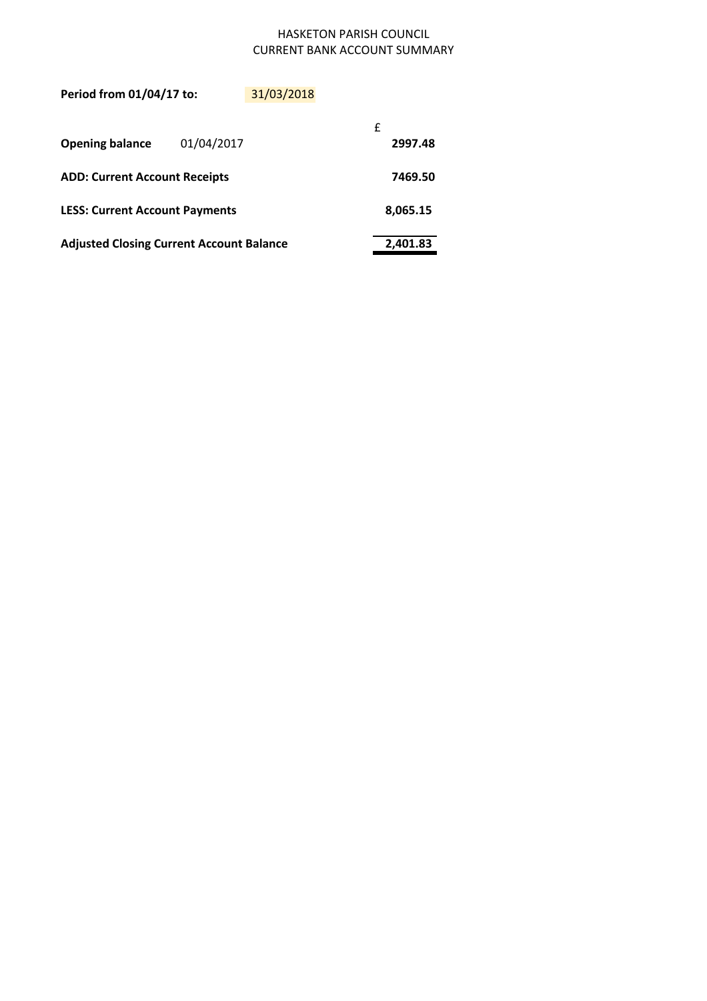# HASKETON PARISH COUNCIL CURRENT BANK ACCOUNT SUMMARY

| Period from 01/04/17 to:                        |            | 31/03/2018 |         |  |  |
|-------------------------------------------------|------------|------------|---------|--|--|
| <b>Opening balance</b>                          | 01/04/2017 |            |         |  |  |
| <b>ADD: Current Account Receipts</b>            |            |            | 7469.50 |  |  |
| <b>LESS: Current Account Payments</b>           | 8,065.15   |            |         |  |  |
| <b>Adjusted Closing Current Account Balance</b> | 2,401.83   |            |         |  |  |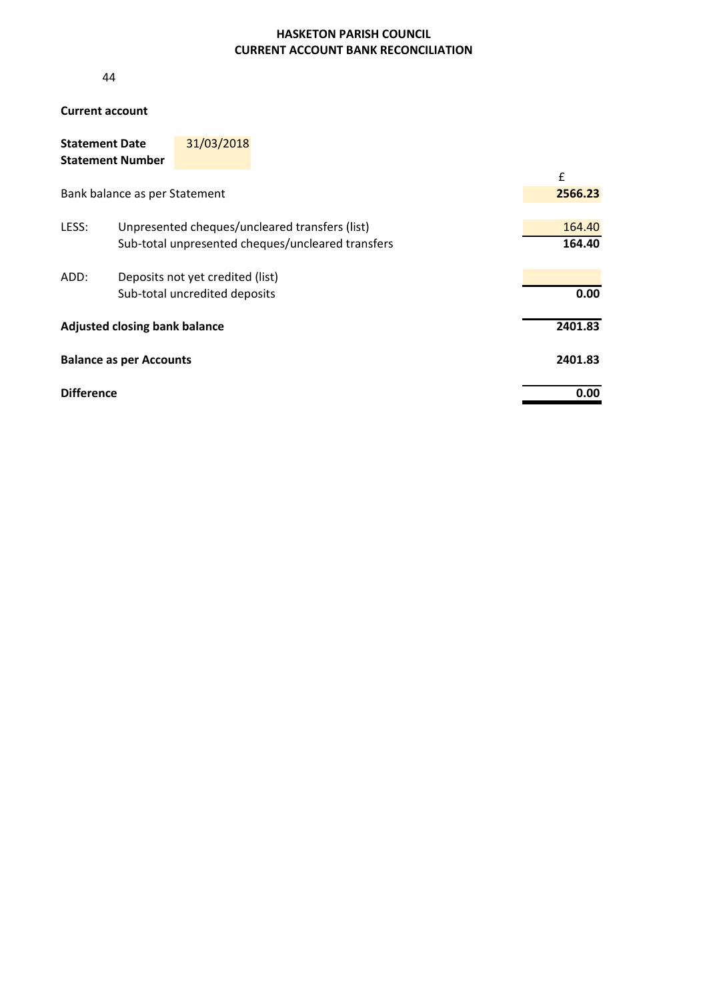## **HASKETON PARISH COUNCIL CURRENT ACCOUNT BANK RECONCILIATION**

44

## **Current account**

| <b>Statement Date</b>   | 31/03/2018 |
|-------------------------|------------|
| <b>Statement Number</b> |            |

|                                      |                                                   | £      |  |  |  |
|--------------------------------------|---------------------------------------------------|--------|--|--|--|
|                                      | Bank balance as per Statement                     |        |  |  |  |
|                                      |                                                   |        |  |  |  |
| LESS:                                | Unpresented cheques/uncleared transfers (list)    | 164.40 |  |  |  |
|                                      | Sub-total unpresented cheques/uncleared transfers | 164.40 |  |  |  |
| ADD:                                 | Deposits not yet credited (list)                  |        |  |  |  |
|                                      | Sub-total uncredited deposits                     | 0.00   |  |  |  |
| <b>Adjusted closing bank balance</b> | 2401.83                                           |        |  |  |  |
| <b>Balance as per Accounts</b>       | 2401.83                                           |        |  |  |  |
| <b>Difference</b>                    |                                                   | 0.00   |  |  |  |